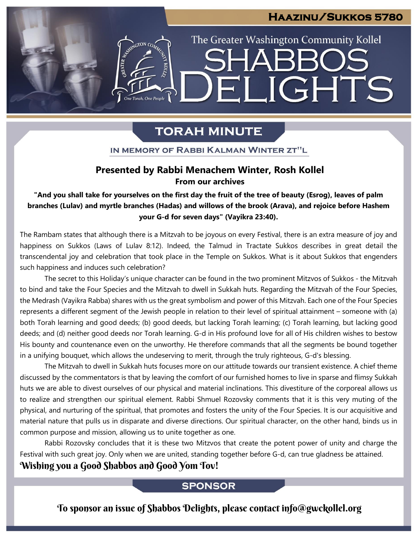### **Haazinu/Sukkos 5780**

The Greater Washington Community Kollel

ELIGHTS

SHARR(

# **TORAH MINUTE**

ESTRATON CON

One Torah, One People

IN MEMORY OF RABBI KALMAN WINTER ZT"L

### **Presented by Rabbi Menachem Winter, Rosh Kollel From our archives**

### "And you shall take for yourselves on the first day the fruit of the tree of beauty (Esrog), leaves of palm **branches (Lulav) and myrtle branches (Hadas) and willows of the brook (Arava), and rejoice before Hashem your G-d for seven days" (Vayikra 23:40).**

The Rambam states that although there is a Mitzvah to be joyous on every Festival, there is an extra measure of joy and happiness on Sukkos (Laws of Lulav 8:12). Indeed, the Talmud in Tractate Sukkos describes in great detail the transcendental joy and celebration that took place in the Temple on Sukkos. What is it about Sukkos that engenders such happiness and induces such celebration?

The secret to this Holiday's unique character can be found in the two prominent Mitzvos of Sukkos - the Mitzvah to bind and take the Four Species and the Mitzvah to dwell in Sukkah huts. Regarding the Mitzvah of the Four Species, the Medrash (Vayikra Rabba) shares with us the great symbolism and power of this Mitzvah. Each one of the Four Species represents a different segment of the Jewish people in relation to their level of spiritual attainment – someone with (a) both Torah learning and good deeds; (b) good deeds, but lacking Torah learning; (c) Torah learning, but lacking good deeds; and (d) neither good deeds nor Torah learning. G-d in His profound love for all of His children wishes to bestow His bounty and countenance even on the unworthy. He therefore commands that all the segments be bound together in a unifying bouquet, which allows the undeserving to merit, through the truly righteous, G-d's blessing.

The Mitzvah to dwell in Sukkah huts focuses more on our attitude towards our transient existence. A chief theme discussed by the commentators is that by leaving the comfort of our furnished homes to live in sparse and flimsy Sukkah huts we are able to divest ourselves of our physical and material inclinations. This divestiture of the corporeal allows us to realize and strengthen our spiritual element. Rabbi Shmuel Rozovsky comments that it is this very muting of the physical, and nurturing of the spiritual, that promotes and fosters the unity of the Four Species. It is our acquisitive and material nature that pulls us in disparate and diverse directions. Our spiritual character, on the other hand, binds us in common purpose and mission, allowing us to unite together as one.

Rabbi Rozovsky concludes that it is these two Mitzvos that create the potent power of unity and charge the Festival with such great joy. Only when we are united, standing together before G-d, can true gladness be attained.

### Wishing you a Good Shabbos and Good Yom Tov!

### **SPONSOR**

To sponsor an issue of Shabbos Delights, please contact info@gwckollel.org